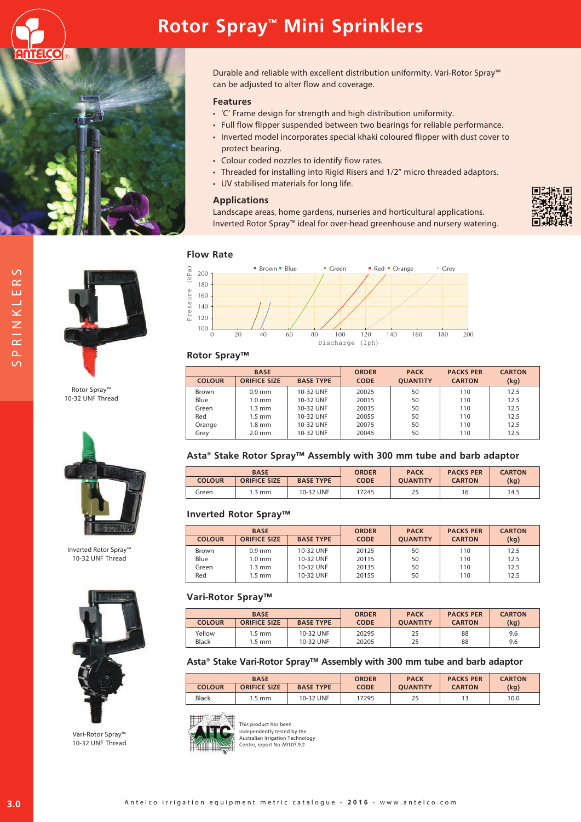





Durable and reliable with excellent distribution uniformity. Vari-Rotor Spray™ can be adjusted to alter flow and coverage.

### **Features**

- • 'C' Frame design for strength and high distribution uniformity.
- Full flow flipper suspended between two bearings for reliable performance.
- Inverted model incorporates special khaki coloured flipper with dust cover to protect bearing.
- Colour coded nozzles to identify flow rates.
- Threaded for installing into Rigid Risers and 1/2" micro threaded adaptors.
- UV stabilised materials for long life.

#### **Applications**

Landscape areas, home gardens, nurseries and horticultural applications. Inverted Rotor Spray™ ideal for over-head greenhouse and nursery watering.





Rotor Spray™ 10-32 UNF Thread



Inverted Rotor Spray™ 10-32 UNF Thread



Vari-Rotor Spray™ 10-32 UNF Thread

### **Flow Rate**



#### **Rotor Spray™**

|               | <b>BASE</b>         |                  | <b>ORDER</b> | <b>PACK</b>     | <b>PACKS PER</b> | <b>CARTON</b> |
|---------------|---------------------|------------------|--------------|-----------------|------------------|---------------|
| <b>COLOUR</b> | <b>ORIFICE SIZE</b> | <b>BASE TYPE</b> | <b>CODE</b>  | <b>OUANTITY</b> | <b>CARTON</b>    | (kg)          |
| Brown         | $0.9$ mm            | 10-32 UNF        | 20025        | 50              | 110              | 12.5          |
| Blue          | $1.0 \text{ mm}$    | 10-32 UNF        | 20015        | 50              | 110              | 12.5          |
| Green         | $1.3 \text{ mm}$    | 10-32 UNF        | 20035        | 50              | 110              | 12.5          |
| Red           | $1.5 \text{ mm}$    | 10-32 UNF        | 20055        | 50              | 110              | 12.5          |
| Orange        | $1.8 \text{ mm}$    | 10-32 UNF        | 20075        | 50              | 110              | 12.5          |
| Grey          | $2.0$ mm            | 10-32 UNF        | 20045        | 50              | 110              | 12.5          |



| <b>BASE</b>   |                     |                  | <b>ORDER</b> | <b>PACK</b>     | <b>PACKS PER</b> | <b>CARTON</b> |
|---------------|---------------------|------------------|--------------|-----------------|------------------|---------------|
| <b>COLOUR</b> | <b>ORIFICE SIZE</b> | <b>BASE TYPE</b> | <b>CODE</b>  | <b>OUANTITY</b> | <b>CARTON</b>    | (kg)          |
| Green         | .3 mm               | 10-32 UNF        | 17245        | 25              | 16               | 14.5          |

#### **Inverted Rotor Spray™**

|               | <b>BASE</b>         |                  | <b>ORDER</b> | <b>PACK</b>     | <b>PACKS PER</b> | <b>CARTON</b> |
|---------------|---------------------|------------------|--------------|-----------------|------------------|---------------|
| <b>COLOUR</b> | <b>ORIFICE SIZE</b> | <b>BASE TYPE</b> | <b>CODE</b>  | <b>OUANTITY</b> | <b>CARTON</b>    | (kg)          |
| Brown         | $0.9$ mm            | 10-32 UNF        | 20125        | 50              | 110              | 12.5          |
| Blue          | $1.0 \text{ mm}$    | 10-32 UNF        | 20115        | 50              | 110              | 12.5          |
| Green         | $1.3 \text{ mm}$    | 10-32 UNF        | 20135        | 50              | 110              | 12.5          |
| Red           | $1.5 \text{ mm}$    | 10-32 UNF        | 20155        | 50              | 110              | 12.5          |

#### **Vari-Rotor Spray™**

| <b>BASE</b>   |                     |                  | <b>ORDER</b> | <b>PACK</b>     | <b>PACKS PER</b> | <b>CARTON</b> |
|---------------|---------------------|------------------|--------------|-----------------|------------------|---------------|
| <b>COLOUR</b> | <b>ORIFICE SIZE</b> | <b>BASE TYPE</b> | <b>CODE</b>  | <b>OUANTITY</b> | <b>CARTON</b>    | (kg)          |
| Yellow        | 1.5 mm              | 10-32 UNF        | 20295        | 25              | 88               | 9.6           |
| Black         | $.5 \text{ mm}$     | 10-32 UNF        | 20205        | 25              | 88               | 9.6           |

#### **Asta® Stake Vari-Rotor Spray™ Assembly with 300 mm tube and barb adaptor**

| <b>BASE</b>   |                     |                  | <b>ORDER</b> | <b>PACK</b>     | <b>PACKS PER</b> | <b>CARTON</b> |
|---------------|---------------------|------------------|--------------|-----------------|------------------|---------------|
| <b>COLOUR</b> | <b>ORIFICE SIZE</b> | <b>BASE TYPE</b> | <b>CODE</b>  | <b>OUANTITY</b> | <b>CARTON</b>    | (kg)          |
| <b>Black</b>  | 1.5 mm              | 10-32 UNF        | 7295         | 25              |                  | 10.0          |



This product has been independently tested by the Australian Irrigation Technology Centre, report No A9107.9.2